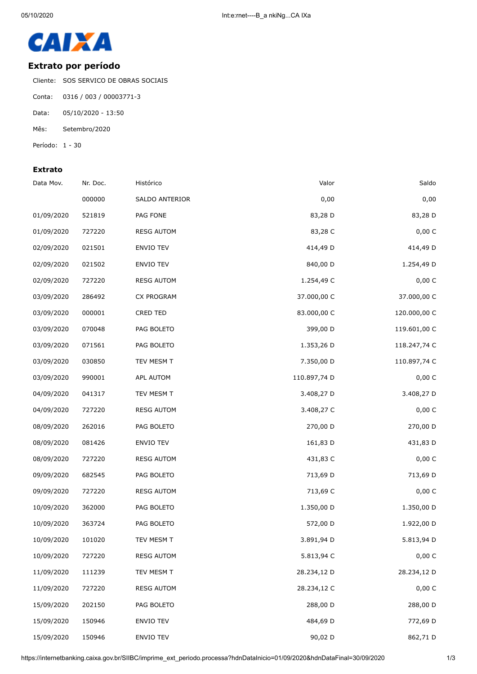

## **Extrato por período**

Cliente: SOS SERVICO DE OBRAS SOCIAIS

- Conta: 0316 / 003 / 00003771-3
- Data: 05/10/2020 13:50
- Mês: Setembro/2020
- Período: 1 30

## **Extrato**

| Saldo        | Valor        | Histórico         | Nr. Doc. | Data Mov.  |
|--------------|--------------|-------------------|----------|------------|
| 0,00         | 0,00         | SALDO ANTERIOR    | 000000   |            |
| 83,28 D      | 83,28 D      | PAG FONE          | 521819   | 01/09/2020 |
| 0,00 C       | 83,28 C      | <b>RESG AUTOM</b> | 727220   | 01/09/2020 |
| 414,49 D     | 414,49 D     | ENVIO TEV         | 021501   | 02/09/2020 |
| 1.254,49 D   | 840,00 D     | ENVIO TEV         | 021502   | 02/09/2020 |
| 0,00 C       | 1.254,49 C   | <b>RESG AUTOM</b> | 727220   | 02/09/2020 |
| 37.000,00 C  | 37.000,00 C  | <b>CX PROGRAM</b> | 286492   | 03/09/2020 |
| 120.000,00 C | 83.000,00 C  | CRED TED          | 000001   | 03/09/2020 |
| 119.601,00 C | 399,00 D     | PAG BOLETO        | 070048   | 03/09/2020 |
| 118.247,74 C | 1.353,26 D   | PAG BOLETO        | 071561   | 03/09/2020 |
| 110.897,74 C | 7.350,00 D   | TEV MESM T        | 030850   | 03/09/2020 |
| 0,00 C       | 110.897,74 D | APL AUTOM         | 990001   | 03/09/2020 |
| 3.408,27 D   | 3.408,27 D   | TEV MESM T        | 041317   | 04/09/2020 |
| 0,00 C       | 3.408,27 C   | <b>RESG AUTOM</b> | 727220   | 04/09/2020 |
| 270,00 D     | 270,00 D     | PAG BOLETO        | 262016   | 08/09/2020 |
| 431,83 D     | 161,83 D     | <b>ENVIO TEV</b>  | 081426   | 08/09/2020 |
| 0,00 C       | 431,83 C     | <b>RESG AUTOM</b> | 727220   | 08/09/2020 |
| 713,69 D     | 713,69 D     | PAG BOLETO        | 682545   | 09/09/2020 |
| 0,00 C       | 713,69 C     | <b>RESG AUTOM</b> | 727220   | 09/09/2020 |
| 1.350,00 D   | 1.350,00 D   | PAG BOLETO        | 362000   | 10/09/2020 |
| 1.922,00 D   | 572,00 D     | PAG BOLETO        | 363724   | 10/09/2020 |
| 5.813,94 D   | 3.891,94 D   | TEV MESM T        | 101020   | 10/09/2020 |
| 0,00 C       | 5.813,94 C   | <b>RESG AUTOM</b> | 727220   | 10/09/2020 |
| 28.234,12 D  | 28.234,12 D  | TEV MESM T        | 111239   | 11/09/2020 |
| 0,00 C       | 28.234,12 C  | <b>RESG AUTOM</b> | 727220   | 11/09/2020 |
| 288,00 D     | 288,00 D     | PAG BOLETO        | 202150   | 15/09/2020 |
| 772,69 D     | 484,69 D     | <b>ENVIO TEV</b>  | 150946   | 15/09/2020 |
| 862,71 D     | 90,02 D      | ENVIO TEV         | 150946   | 15/09/2020 |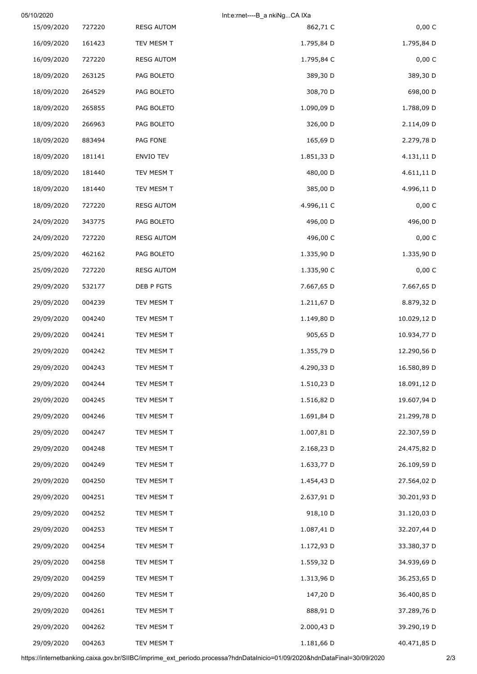| 05/10/2020 |        |                   | Int:e:rnet----B_a nkiNgCA IXa |             |
|------------|--------|-------------------|-------------------------------|-------------|
| 15/09/2020 | 727220 | <b>RESG AUTOM</b> | 862,71 C                      | 0,00 C      |
| 16/09/2020 | 161423 | TEV MESM T        | 1.795,84 D                    | 1.795,84 D  |
| 16/09/2020 | 727220 | <b>RESG AUTOM</b> | 1.795,84 C                    | 0,00 C      |
| 18/09/2020 | 263125 | PAG BOLETO        | 389,30 D                      | 389,30 D    |
| 18/09/2020 | 264529 | PAG BOLETO        | 308,70 D                      | 698,00 D    |
| 18/09/2020 | 265855 | PAG BOLETO        | 1.090,09 D                    | 1.788,09 D  |
| 18/09/2020 | 266963 | PAG BOLETO        | 326,00 D                      | 2.114,09 D  |
| 18/09/2020 | 883494 | PAG FONE          | 165,69 D                      | 2.279,78 D  |
| 18/09/2020 | 181141 | ENVIO TEV         | 1.851,33 D                    | 4.131,11 D  |
| 18/09/2020 | 181440 | TEV MESM T        | 480,00 D                      | 4.611,11 D  |
| 18/09/2020 | 181440 | TEV MESM T        | 385,00 D                      | 4.996,11 D  |
| 18/09/2020 | 727220 | <b>RESG AUTOM</b> | 4.996,11 C                    | 0,00 C      |
| 24/09/2020 | 343775 | PAG BOLETO        | 496,00 D                      | 496,00 D    |
| 24/09/2020 | 727220 | <b>RESG AUTOM</b> | 496,00 C                      | 0,00 C      |
| 25/09/2020 | 462162 | PAG BOLETO        | 1.335,90 D                    | 1.335,90 D  |
| 25/09/2020 | 727220 | <b>RESG AUTOM</b> | 1.335,90 C                    | 0,00 C      |
| 29/09/2020 | 532177 | DEB P FGTS        | 7.667,65 D                    | 7.667,65 D  |
| 29/09/2020 | 004239 | TEV MESM T        | 1.211,67 D                    | 8.879,32 D  |
| 29/09/2020 | 004240 | TEV MESM T        | 1.149,80 D                    | 10.029,12 D |
| 29/09/2020 | 004241 | TEV MESM T        | 905,65 D                      | 10.934,77 D |
| 29/09/2020 | 004242 | TEV MESM T        | 1.355,79 D                    | 12.290,56 D |
| 29/09/2020 | 004243 | TEV MESM T        | 4.290,33 D                    | 16.580,89 D |
| 29/09/2020 | 004244 | TEV MESM T        | 1.510,23 D                    | 18.091,12 D |
| 29/09/2020 | 004245 | TEV MESM T        | 1.516,82 D                    | 19.607,94 D |
| 29/09/2020 | 004246 | TEV MESM T        | 1.691,84 D                    | 21.299,78 D |
| 29/09/2020 | 004247 | TEV MESM T        | 1.007,81 D                    | 22.307,59 D |
| 29/09/2020 | 004248 | TEV MESM T        | 2.168,23 D                    | 24.475,82 D |
| 29/09/2020 | 004249 | TEV MESM T        | 1.633,77 D                    | 26.109,59 D |
| 29/09/2020 | 004250 | TEV MESM T        | 1.454,43 D                    | 27.564,02 D |
| 29/09/2020 | 004251 | TEV MESM T        | 2.637,91 D                    | 30.201,93 D |
| 29/09/2020 | 004252 | TEV MESM T        | 918,10 D                      | 31.120,03 D |
| 29/09/2020 | 004253 | TEV MESM T        | 1.087,41 D                    | 32.207,44 D |
| 29/09/2020 | 004254 | TEV MESM T        | 1.172,93 D                    | 33.380,37 D |
| 29/09/2020 | 004258 | TEV MESM T        | 1.559,32 D                    | 34.939,69 D |
| 29/09/2020 | 004259 | TEV MESM T        | 1.313,96 D                    | 36.253,65 D |
| 29/09/2020 | 004260 | TEV MESM T        | 147,20 D                      | 36.400,85 D |
| 29/09/2020 | 004261 | TEV MESM T        | 888,91 D                      | 37.289,76 D |
| 29/09/2020 | 004262 | TEV MESM T        | 2.000,43 D                    | 39.290,19 D |
| 29/09/2020 | 004263 | TEV MESM T        | 1.181,66 D                    | 40.471,85 D |

https://internetbanking.caixa.gov.br/SIIBC/imprime\_ext\_periodo.processa?hdnDataInicio=01/09/2020&hdnDataFinal=30/09/2020 2/3